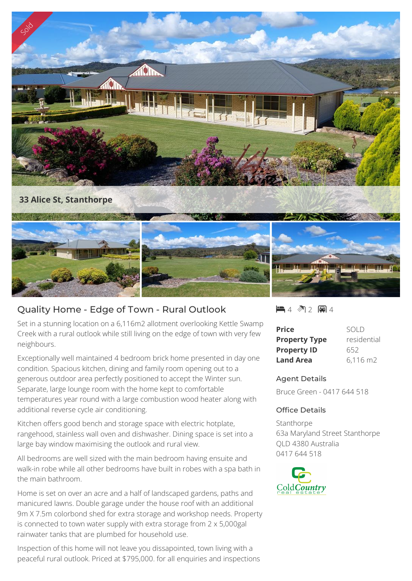

## Quality Home - Edge of Town - Rural Outlook

Set in a stunning location on a 6,116m2 allotment overlooking Kettle Swamp Creek with a rural outlook while still living on the edge of town with very few neighbours.

Exceptionally well maintained 4 bedroom brick home presented in day one condition. Spacious kitchen, dining and family room opening out to a generous outdoor area perfectly positioned to accept the Winter sun. Separate, large lounge room with the home kept to comfortable temperatures year round with a large combustion wood heater along with additional reverse cycle air conditioning.

Kitchen offers good bench and storage space with electric hotplate, rangehood, stainless wall oven and dishwasher. Dining space is set into a large bay window maximising the outlook and rural view.

All bedrooms are well sized with the main bedroom having ensuite and walk-in robe while all other bedrooms have built in robes with a spa bath in the main bathroom.

Home is set on over an acre and a half of landscaped gardens, paths and manicured lawns. Double garage under the house roof with an additional 9m X 7.5m colorbond shed for extra storage and workshop needs. Property is connected to town water supply with extra storage from 2 x 5,000gal rainwater tanks that are plumbed for household use.

Inspection of this home will not leave you dissapointed, town living with a peaceful rural outlook. Priced at \$795,000. for all enquiries and inspections  $-4$   $2$   $-1$ 

| <b>Price</b>         | SOI D                  |
|----------------------|------------------------|
| <b>Property Type</b> | residential            |
| <b>Property ID</b>   | 652                    |
| <b>Land Area</b>     | $6,116 \; \mathrm{m2}$ |

## Agent Details

Bruce Green - 0417 644 518

## Office Details

Stanthorpe 63a Maryland Street Stanthorpe QLD 4380 Australia 0417 644 518